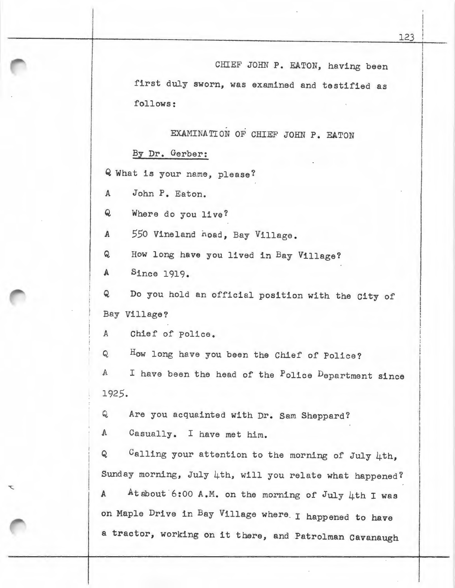## EXAMINATION OF CHIEF JOHN **P. EATON**

## By Dr. Gerber:

Q What is your name, please?

A John P. Eaton.

Q Where do you live?

*A 550* Vineland noad, Bay Village.

Q How long have you lived in Bay Village?

A Since 1919.

Q Do you hold an official position with the City of Bay Village?

A Chief of Police.

Q How long have you been the Chief of Police?

A I have been the head of the Police Department since 1925.

Q Are you acquainted with Dr. Sam Sheppard?

A Casually. I have met him.

 $Q$  Calling your attention to the morning of July 4th, Sunday morning, July 4th, will you relate what happened? A At about 6:00 A.M. on the morning of July 4th I was on Maple Drive in Bay Village where . I happened to have a tractor, working on it there, and Patrolman Cavanaugh

I I

I

I

I I

I I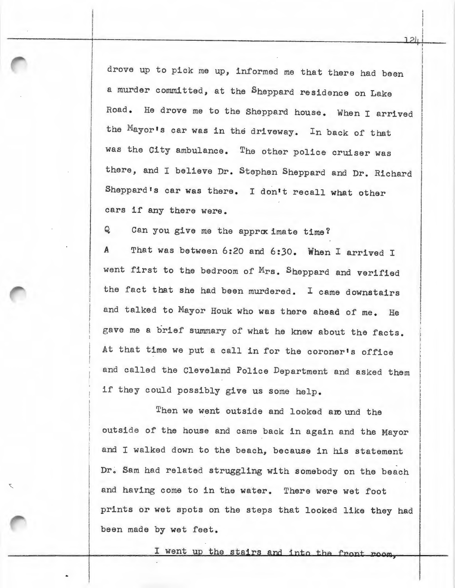drove up to pick me up, informed me that there had been a murder committed, at the Sheppard residence on Lake Road. He drove me to the Sheppard house. When I arrived the Mayor's car was in the driveway. In back of that was the City ambulance. The other police cruiser was there, and I believe Dr. Stephen Sheppard and Dr. Richard Sheppard's car was there. I don't recall what other cars if any there were.

Q. Can you give me the approc imate time?

*A* That was between 6:20 and 6:30. When I arrived I went first to the bedroom of Mrs. Sheppard and verified the fact that she had been murdered. I came downstairs and talked to Mayor Houk who was there ahead of me. He gave me a brief summary of what he knew about the facts. At that time we put a call in for the coroner's office and called the Cleveland Police Department and asked them if they could possibly give us some help.

Then we went outside and looked are und the outside of the house and came back in again and the Mayor and I walked down to the beach, because in his statement Dr. Sam had related struggling with somebody on the beach and having come to in the water. There were wet foot prints or wet spots on the steps that looked like they had been made by wet feet.

I went up the stairs and into the front room.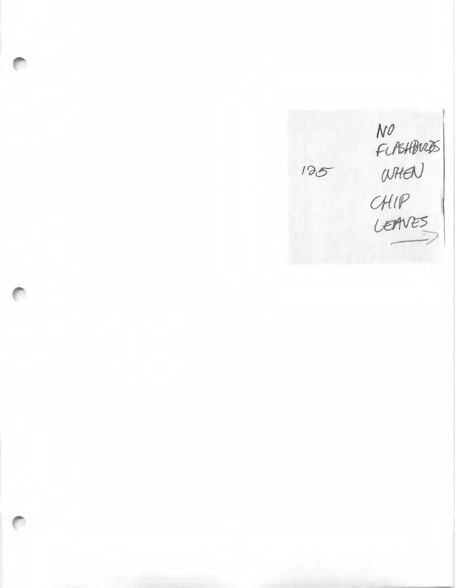NO<br>FLASHBUCKS<br>WHEN<br>CHIP<br>LEAVES 125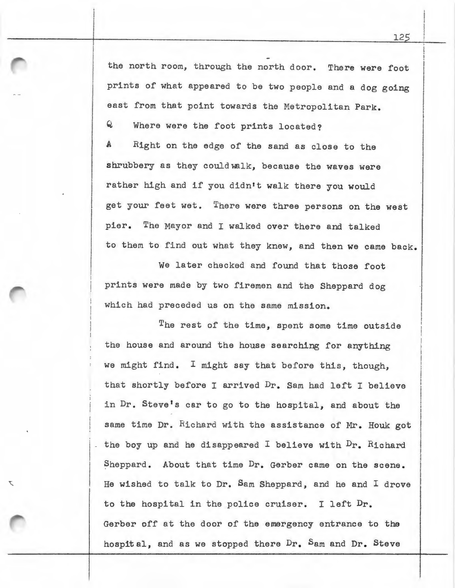the north room, through the north door. There were foot prints of what appeared to be two people and a dog going east from that point towards the Metropolitan Park. Q Where were the foot prints located? A Right on the edge of the sand as close to the

shrubbery as they couldwalk, because the waves were rather high and if you didn't walk there you would get your feet wet. There were three persons on the west pier. The Mayor and I walked over there and talked to them to find out what they knew, and then we came back.

We later checked and found that those foot prints were made by two firemen and the Sheppard dog which had preceded us on the same mission.

The rest of the time, spent some time outside the house and around the house searching for anything we might find. I might say that before this, though, that shortly before I arrived Dr. Sam had left I believe in Dr. Steve's car to go to the hospital, and about the same time Dr. Richard with the assistance of Mr. Houk got - the boy up and he disappeared I believe with  $Dr_a$  Richard Sheppard. About that time Dr. Gerber came on the scene. He wished to talk to Dr. Sam Sheppard, and he and I drove to the hospital in the police cruiser. I left Dr. Gerber off at the door of the emergency entrance to the hospital, and as we stopped there Dr. Sam and Dr. Steve

I I

÷.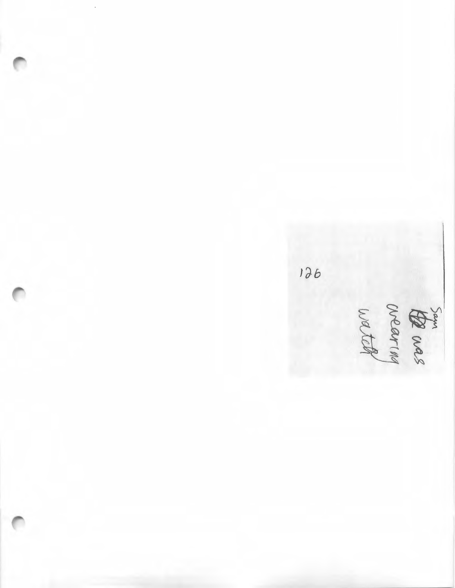Sam crearing<br>crearing

126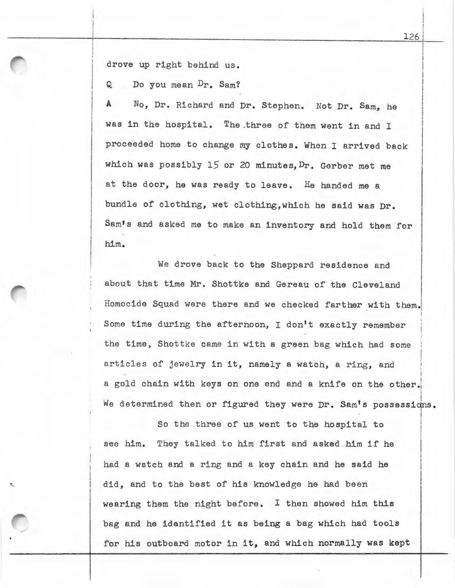drove up right behind us.

Q Do you mean Dr. Sam?

A No, Dr. Richard and Dr. Stephen. Not Dr. Sam, he was in the hospital. The .three of them went in and <sup>I</sup> proceeded home to change my clothes. When I arrived back which was possibly 15 or 20 minutes, Dr. Gerber met me at the door, he was ready to leave. He handed me a bundle of clothing, wet clothing, which he said was Dr. Sam's and asked me to make an inventory and hold them for him.

We drove back to the Sheppard residence and I about that time Mr. Shottke and Gereau of the Cleveland Homocide Squad were there and we checked farther with them. Some time during the afternoon, I don't exactly remember the time, Shottke came in with a green bag which had some articles of jewelry in it, namely a watch, a ring, and ' I I l i I i a gold chain with keys on one end and a knife on the other. We determined then or figured they were Dr. Sam's possessions.

 $\mathbf{I}$ I I So the three of us went to the hospital to see him. They talked to him first and asked him if he had a watch and a ring and a key chain and he said he did, and to the best of his knowledge he had been wearing them the night before. I then showed him this bag and he identified it as being a bag which had tools for his outboard motor in it, and which normally was kept

126

i ! I  $\mathbf{I}$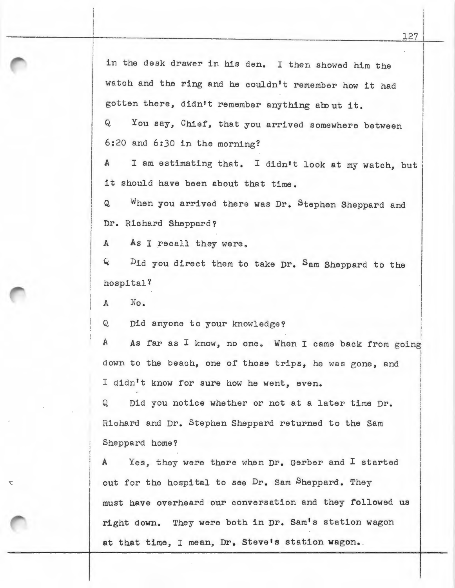in the desk drawer in his den. I then showed him the watch and the ring and he couldn't remember how it had gotten there, didn't remember anything about it.

Q You say, Chief, that you arrived somewhere between 6:20 and 6:30 in the morning?

A I am estimating that. I didn't look at my watch, but it should have been about that time.

Q When you arrived there was Dr. Stephen Sheppard and Dr. Richard Sheppard?

A As I recall they were.

4 Did you direct them to take Dr. Sam Sheppard to the hospital?

A No.

t

Q Did anyone to your knowledge?

 $\mathbf{A}$ As far as I know, no one. When I came back from going **I** down to the beach, one of those trips, he was gone, and i I didn't know for sure how he went, even. I I

Q Did you notice whether or not at a later time Dr. Richard and Dr. Stephen Sheppard returned to the Sam Sheppard home?

A Yes, they were there when Dr. Gerber and I started out for the hospital to see Dr. Sam Sheppard. They must have overheard our conversation and they followed us right down. They were both in Dr. Sam's station wagon at that time, I mean, Dr. Steve's station wagon.

I

i I i !  $\overline{\phantom{a}}$ 

I I I

I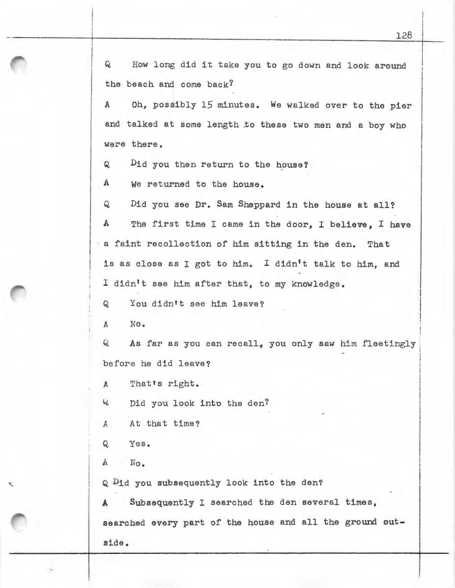Q How long did it take you to go down and look around the beach and come back?

A Oh, possibly 15 minutes. We walked over to the pier and talked at some length to these two men and a boy who were there.

Q Dia *jou* then return to the house?

A We returned to the house.

Q Did you see Dr. Sam Sheppard in the house at all? A The first time I came in the door, I believe, I have a faint recollection of him sitting in the den. That is as close as I got to him. I didn't talk to him, and I didn't see him after that, to my knowledge.

Q You didn't see him leave?

*A* No.

Q As far as you can recall, you only saw him fleetingly before he did leave?

*<sup>A</sup>*That **ts** right.

<sup>~</sup>Did you look into the den?

A At that time?

Q Yes.

A No.

Q Dia you subsequently look into the den?

**A** Subsequently I searched the den several times, searched every part of the house and all the ground **out**side.

i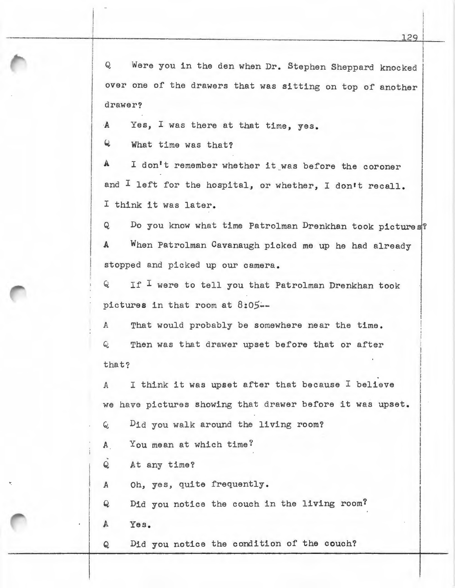Q Were you in the den when Dr. Stephen Sheppard knocked over one of the drawers that was sitting on top of another drawer?

*A* Yes, I was there at that time, yes.

Q What time was that?

A I don't remember whether it was before the coroner and I left for the hospital, or whether, I don't recall. <sup>I</sup>think it was later.

Q Do you know what time Patrolman Drenkhan took pictures? A When Patrolman Cavanaugh picked me up he had already stopped and picked up our camera.

Q If I were to tell you that Patrolman Drenkhan took pictures in that room at *8:05.:..-*

A That would probably be somewhere near the time. Q Then was that drawer upset before that or after that?

A I think it was upset after that because I believe we have pictures showing that drawer before it was upset.

 $Q$  Did you walk around the living room?

A You mean at which time?

 $Q$ At any time?

*A* Oh, yes, quite frequently.

Q Did you notice the couch in the living room?

A Yes.

•.

Q Did you notice the condition of the couch?

I I I ! !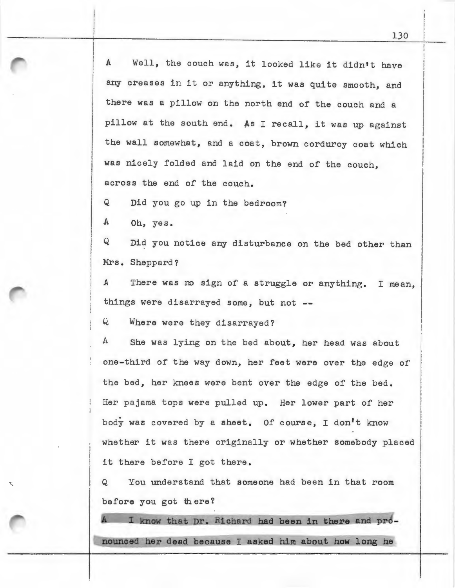A Well, the couch was, it looked like it didn't have any creases in it or anything, it was quite smooth, and there was a pillow on the north end of the couch and a pillow at the south end. As I recall, it was up against the wall somewhat, and a coat, brown corduroy coat which was nicely folded and laid on the end of the couch, across the end of the couch.

Q Did you go up in the bedroom?

A Oh, yes.

 $\overline{\mathbf{C}}$ 

Q Did you notice any disturbance on the bed other than Mrs. Sheppard?

*A* There was *no* sign of a struggle or anything. I mean, things were disarrayed some, but not

Q Where were they disarrayed?

A She was lying on the bed about, her head was about one-third of the way down, her feet were over the edge of the bed, her knees were bent over the edge of the bed. Her pajama tops were pulled up. Her lower part of her body was covered by a sheet. Of course, I don't know whether it was there originally or whether somebody placed it there before I got there.

Q You understand that someone had been in that room before you got there?

I know that Dr. Richard had been in there and pro**nouncea er dead because I asked him about how long he**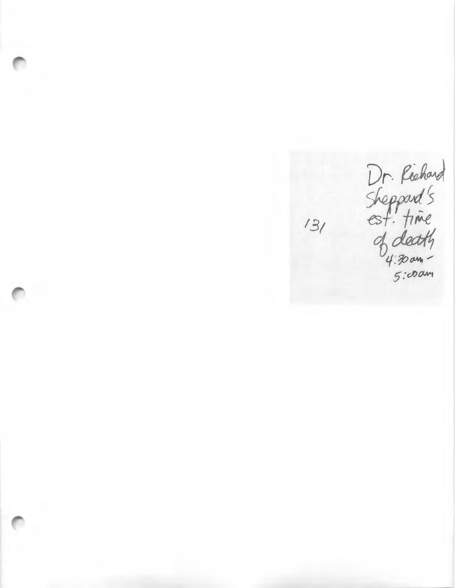Dr. Richard<br>Sheppard's<br>est. time<br>of death<br>"sicoam"<br>sicoam"

 $131$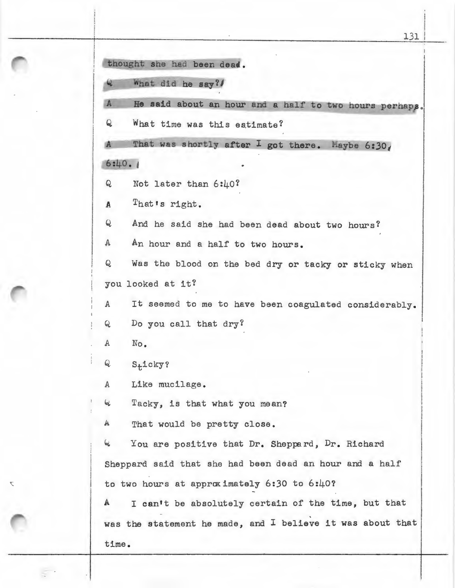131 thought she had been dead. What did he say? A He said about an hour and a half to two hours perhaps. Q What time was this estimate? That was shortly after I got there. Maybe  $6:30<sub>4</sub>$ I  $6:40.1$ Q Not later than 6:40? *A* That•s right. Q And he said she had been dead about two hours? A An hour and a half to two hours. Q Was the blood on the bed dry or tacky or sticky when you looked at it? <sup>A</sup>It seemed to me to have been coagulated considerably. Q Do you call that dry? A No. Q S<sub>t</sub>icky? *A* Like mucilage. <sup>~</sup>Tacky, is that what you mean? A That would be pretty close. 4 You are positive that Dr. Sheppard, Dr. Richard Sheppard said that she had been dead an hour and a half to two hours at approximately  $6:30$  to  $6:40?$ A I can't be absolutely certain of the time, but that was the statement he made, and I believe it was about that time.

 $\overline{\mathbf{C}}$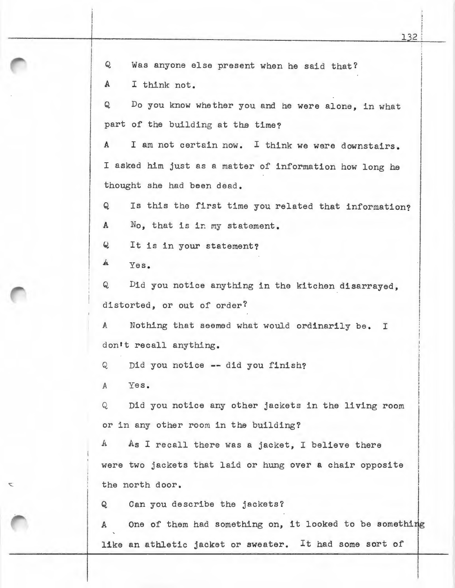Q Was anyone else present when he said that? A I think not. Q Do you know whether you and he were alone, in what part of the building at the time? A I am not certain now. I think we were downstairs. I asked him just as a matter of information how long he thought she had been dead. Q Is this the first time you related that information? A No, that is in my statement. Q It is in your statement? A Yes. Q Did you notice anything in the kitchen disarrayed, distorted, or out of order? A Nothing that seemed what would ordinarily be. I don't recall anything. Q Did you notice -- did you finish? *A* Yes. Q Did you notice any other jackets in the living room or in any other room in the building? A As I recall there was a jacket, I believe there were two jackets that laid or hung over a chair opposite the north door. Q Can you describe the jackets? A One of them had something on, it looked to be something

like an athletic jacket or sweater. It had some sort of

i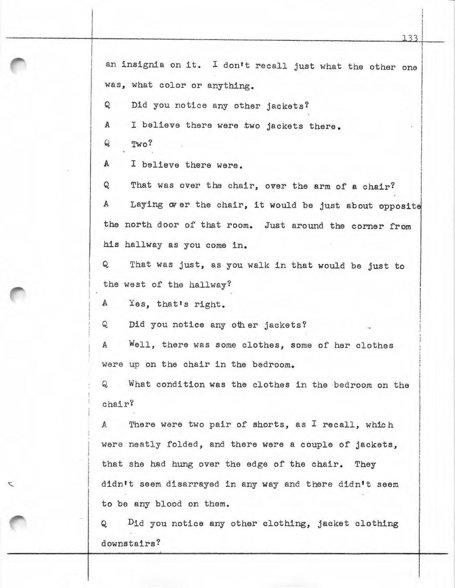an insignia on it. I don't recall just what the other one was, what color or anything.

Q Did you notice any other jackets?

*A* I believe there were two jackets there.

Q Two?

 $\overline{\phantom{0}}$ 

A I believe there were.

Q That was over the chair, over the arm of a chair? A Laying over the chair, it would be just about opposite the north door of that room. Just around the corner from his hallway as you come in.

Q That was just, as you walk in that would be just to the west of the hallway?

A Yes, that's right.

Q Did you notice any other jackets?

A Well, there was some clothes, some of her clothes were up on the chair in the bedroom.

Q What condition was the clothes in the bedroom on the chair?

A There were two pair of shorts, as I recall, which were neatly folded, and there were a couple of jackets, that she had hung over the edge of the chair. They didn't seem disarrayed in any way and there didn't seem to be any blood on them.

Q Did you notice any other clothing, jacket clothing downstairs?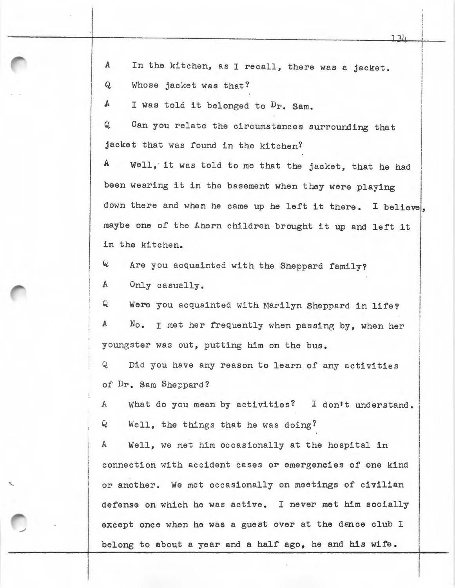A In the kitchen, as I recall, there was a jacket.

Q Whose jacket was that?

i I ·i

A I was told it belonged to  $Dr$ . Sam.

Q Can you relate the circumstances surrounding that jacket that was found in the kitchen?

A Well, it was told to me that the jacket, that he had been wearing it in the basement when they were playing down there and when he came up he left it there. I believe, maybe one of the Ahern children brought it up and left it in the kitchen.

 $6$  Are you acquainted with the Sheppard family?

A Only casually .

Q Were you acquainted with Marilyn Sheppard in life? A No. I met her frequently when passing by, when her youngster was out, putting him on the bus.

Q Did you have any reason to learn of any activities of Dr. Sam Sheppard?

A What do you mean by activities? I don't understand. Q Well, the things that he was doing?

A Well, we met him occasionally at the hospital in connection with accident cases or emergencies of one kind or another. We met occasionally on meetings of civilian defense on which he was active. I never met him socially except once when he was a guest over at the dance club I belong to about a year and a half ago, he and his wife.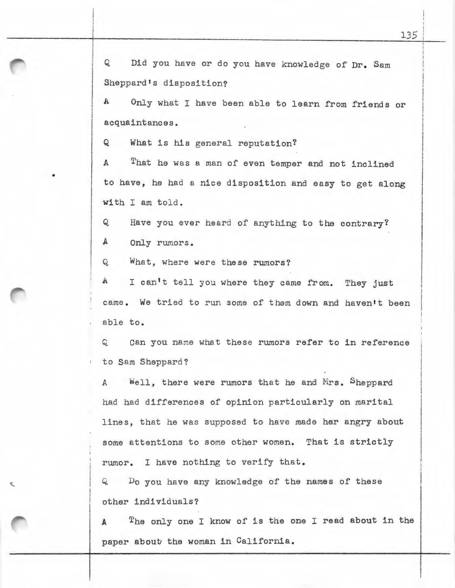Q Did you have or do you have knowledge of Dr. Sam Sheppard's disposition?

A Only what I have been able to learn from friends or acquaintances.

Q What is his general reputation?

A That he was a man of even temper and not inclined to have, he had a nice disposition and easy to get along with I am told.

Q Have you ever heard of anything to the contrary?

A Only rumors.

•

Q What, where were these rumors?

A I can't tell you where they came from. They just came. We tried to run some of them down and haven't been able to.

Q can you name what these rumors refer to in reference to Sam Sheppard ?

A Well, there were rumors that he and Mrs. Sheppard had had differences of opinion particularly on marital lines, that he was supposed to have made her angry about some attentions to some other women. That is strictly rumor. I have nothing to verify that.

Q Do you have any knowledge of the names of these other individuals?

The only one I know of is the one I read about in the A paper about the woman in California.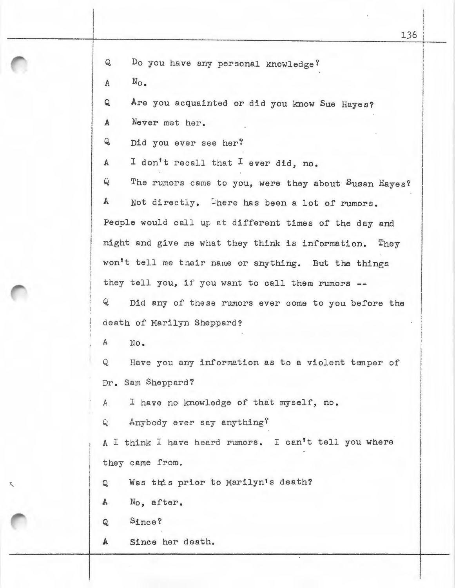$A$   $N_{\Omega}$ .

Q Are you acquainted or did you know Sue Hayes?

*A* Never met her.

Q Did you ever see her?

A I don't recall that I ever did, no.

Q The rumors came to you, were they about Susan Hayes? A Not directly. There has been a lot of rumors. People would call up at different times of the day and night and give me what they think is information. They won't tell me their name or anything. But the things they tell you, if you want to call them rumors --Q Did any of these rumors ever come to you before the

death of Marilyn Sheppard?

A No.

Q Have you any information as to a violent temper of Dr. Sam Sheppard?

A I have no knowledge of that myself, no.

Q Anybody ever say anything?

A I think I have heard rumors. I can't tell you where they came from.

Q Was this prior to Marilyn's death?

<sup>A</sup>No, after.

Q Since?

A Since her death.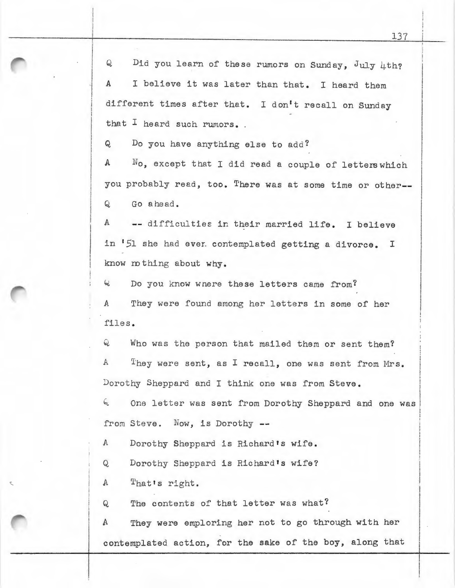$Q$  Did you learn of these rumors on Sunday, July 4th? *<sup>A</sup>*I believe it was later than that. I heard them different times after that. I don't recall on Sunday that I heard such rumors.

Q Do you have anything else to add?

I I

I I !<br>!<br>! i

> $A$   $N_0$ , except that I did read a couple of letters which you probably read, too. There was at some time or other-- Q Go ahead.

A difficulties in their married life. I believe in '51 she had ever. contemplated getting a divorce. I know ro thing about why.

 $4$  Do you know wnere these letters came from? A They were found among her letters in some of her files.

Q Who was the person that mailed them or sent them? A They were sent, as I recall, one was sent from Mrs. Dorothy Sheppard and I think one was from Steve.

<sup>6</sup> One letter was sent from Dorothy Sheppard and one was from Steve. Now, is Dorothy --

A Dorothy Sheppard is Richard's wife.

Q Dorothy Sheppard is Richard's wife?

I A That's right.

Q The contents of that letter was what?

A They were emploring her not to go through with her contemplated action, for the sake of the boy, along that I

!

i I I

I i '

I